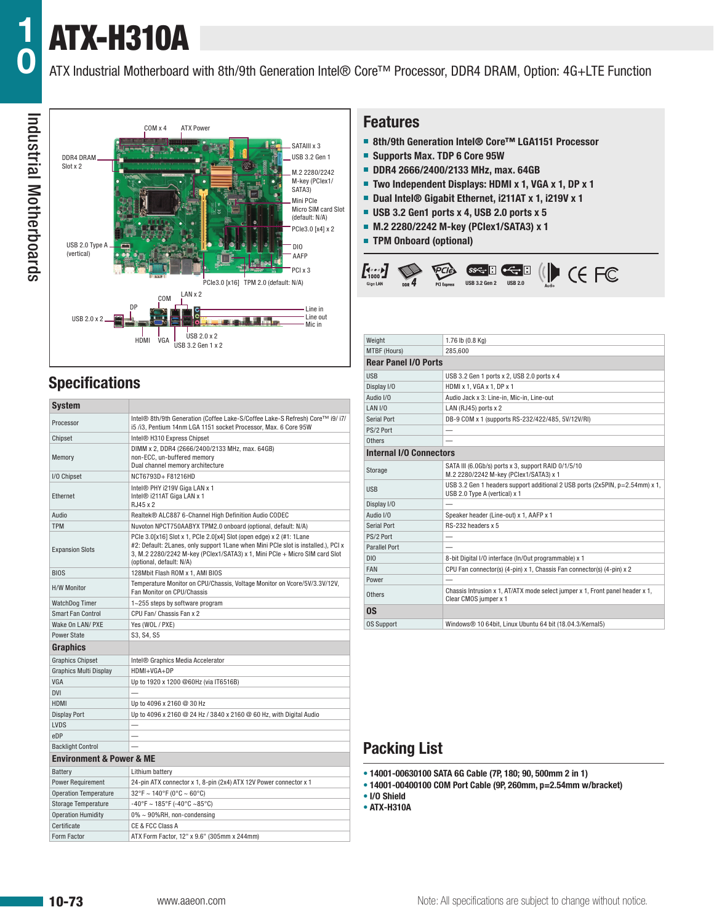# ATX-H310A

ATX Industrial Motherboard with 8th/9th Generation Intel® Core™ Processor, DDR4 DRAM, Option: 4G+LTE Function



# **Specifications**

| <b>System</b>                           |                                                                                                                                                                                                                                                                     |  |  |  |  |  |
|-----------------------------------------|---------------------------------------------------------------------------------------------------------------------------------------------------------------------------------------------------------------------------------------------------------------------|--|--|--|--|--|
| Processor                               | Intel® 8th/9th Generation (Coffee Lake-S/Coffee Lake-S Refresh) Core™ i9/ i7/<br>i5/i3, Pentium 14nm LGA 1151 socket Processor, Max. 6 Core 95W                                                                                                                     |  |  |  |  |  |
| Chipset                                 | Intel® H310 Express Chipset                                                                                                                                                                                                                                         |  |  |  |  |  |
| Memory                                  | DIMM x 2, DDR4 (2666/2400/2133 MHz, max. 64GB)<br>non-ECC, un-buffered memory<br>Dual channel memory architecture                                                                                                                                                   |  |  |  |  |  |
| I/O Chipset                             | NCT6793D+F81216HD                                                                                                                                                                                                                                                   |  |  |  |  |  |
| Ethernet                                | Intel® PHY i219V Giga LAN x 1<br>Intel® i211AT Giga LAN x 1<br>RJ45 x 2                                                                                                                                                                                             |  |  |  |  |  |
| Audio                                   | Realtek® ALC887 6-Channel High Definition Audio CODEC                                                                                                                                                                                                               |  |  |  |  |  |
| <b>TPM</b>                              | Nuvoton NPCT750AABYX TPM2.0 onboard (optional, default: N/A)                                                                                                                                                                                                        |  |  |  |  |  |
| <b>Expansion Slots</b>                  | PCle 3.0[x16] Slot x 1, PCle 2.0[x4] Slot (open edge) x 2 (#1: 1Lane<br>#2: Default: 2Lanes, only support 1Lane when Mini PCIe slot is installed.), PCI x<br>3, M.2 2280/2242 M-key (PClex1/SATA3) x 1, Mini PCle + Micro SIM card Slot<br>(optional, default: N/A) |  |  |  |  |  |
| <b>BIOS</b>                             | 128 Mbit Flash ROM x 1, AMI BIOS                                                                                                                                                                                                                                    |  |  |  |  |  |
| <b>H/W Monitor</b>                      | Temperature Monitor on CPU/Chassis, Voltage Monitor on Vcore/5V/3.3V/12V,<br>Fan Monitor on CPU/Chassis                                                                                                                                                             |  |  |  |  |  |
| <b>WatchDog Timer</b>                   | 1~255 steps by software program                                                                                                                                                                                                                                     |  |  |  |  |  |
| <b>Smart Fan Control</b>                | CPU Fan/ Chassis Fan x 2                                                                                                                                                                                                                                            |  |  |  |  |  |
| Wake On LAN/ PXE                        | Yes (WOL / PXE)                                                                                                                                                                                                                                                     |  |  |  |  |  |
| <b>Power State</b>                      | S3, S4, S5                                                                                                                                                                                                                                                          |  |  |  |  |  |
| <b>Graphics</b>                         |                                                                                                                                                                                                                                                                     |  |  |  |  |  |
| <b>Graphics Chipset</b>                 | Intel <sup>®</sup> Graphics Media Accelerator                                                                                                                                                                                                                       |  |  |  |  |  |
| <b>Graphics Multi Display</b>           | HDMI+VGA+DP                                                                                                                                                                                                                                                         |  |  |  |  |  |
| <b>VGA</b>                              | Up to 1920 x 1200 @60Hz (via IT6516B)                                                                                                                                                                                                                               |  |  |  |  |  |
| <b>DVI</b>                              |                                                                                                                                                                                                                                                                     |  |  |  |  |  |
| <b>HDMI</b>                             | Up to 4096 x 2160 @ 30 Hz                                                                                                                                                                                                                                           |  |  |  |  |  |
| <b>Display Port</b>                     | Up to 4096 x 2160 @ 24 Hz / 3840 x 2160 @ 60 Hz, with Digital Audio                                                                                                                                                                                                 |  |  |  |  |  |
| <b>LVDS</b>                             |                                                                                                                                                                                                                                                                     |  |  |  |  |  |
| eDP                                     |                                                                                                                                                                                                                                                                     |  |  |  |  |  |
| <b>Backlight Control</b>                |                                                                                                                                                                                                                                                                     |  |  |  |  |  |
| <b>Environment &amp; Power &amp; ME</b> |                                                                                                                                                                                                                                                                     |  |  |  |  |  |
| Battery                                 | Lithium battery                                                                                                                                                                                                                                                     |  |  |  |  |  |
| <b>Power Requirement</b>                | 24-pin ATX connector x 1, 8-pin (2x4) ATX 12V Power connector x 1                                                                                                                                                                                                   |  |  |  |  |  |
| <b>Operation Temperature</b>            | $32^{\circ}$ F ~ 140°F (0°C ~ 60°C)                                                                                                                                                                                                                                 |  |  |  |  |  |
| <b>Storage Temperature</b>              | $-40^{\circ}$ F ~ 185°F (-40°C ~85°C)                                                                                                                                                                                                                               |  |  |  |  |  |
| <b>Operation Humidity</b>               | 0% ~ 90%RH, non-condensing                                                                                                                                                                                                                                          |  |  |  |  |  |
| Certificate                             | CE & FCC Class A                                                                                                                                                                                                                                                    |  |  |  |  |  |
| Form Factor                             | ATX Form Factor, 12" x 9.6" (305mm x 244mm)                                                                                                                                                                                                                         |  |  |  |  |  |

#### **Features**

- **8th/9th Generation Intel® Core™ LGA1151 Processor**
- **Supports Max. TDP 6 Core 95W**
- **DDR4 2666/2400/2133 MHz, max. 64GB**
- **Two Independent Displays: HDMI x 1, VGA x 1, DP x 1**
- **Dual Intel<sup>®</sup> Gigabit Ethernet, i211AT x 1, i219V x 1**
- **USB 3.2 Gen1 ports x 4, USB 2.0 ports x 5**
- **M.2 2280/2242 M-key (PCIex1/SATA3) x 1**
- **TPM Onboard (optional)**



| Weight                         | 1.76 lb (0.8 Kg)                                                                                              |  |  |  |  |  |
|--------------------------------|---------------------------------------------------------------------------------------------------------------|--|--|--|--|--|
| MTBF (Hours)                   | 285.600                                                                                                       |  |  |  |  |  |
| <b>Rear Panel I/O Ports</b>    |                                                                                                               |  |  |  |  |  |
| <b>USB</b>                     | USB 3.2 Gen 1 ports x 2, USB 2.0 ports x 4                                                                    |  |  |  |  |  |
| Display I/O                    | HDMI x 1, VGA x 1, DP x 1                                                                                     |  |  |  |  |  |
| Audio I/O                      | Audio Jack x 3: Line-in, Mic-in, Line-out                                                                     |  |  |  |  |  |
| LAN I/O                        | LAN (RJ45) ports x 2                                                                                          |  |  |  |  |  |
| Serial Port                    | DB-9 COM x 1 (supports RS-232/422/485, 5V/12V/RI)                                                             |  |  |  |  |  |
| PS/2 Port                      |                                                                                                               |  |  |  |  |  |
| Others                         |                                                                                                               |  |  |  |  |  |
| <b>Internal I/O Connectors</b> |                                                                                                               |  |  |  |  |  |
| Storage                        | SATA III (6.0Gb/s) ports x 3, support RAID 0/1/5/10<br>M.2 2280/2242 M-key (PClex1/SATA3) x 1                 |  |  |  |  |  |
| <b>USB</b>                     | USB 3.2 Gen 1 headers support additional 2 USB ports (2x5PIN, p=2.54mm) x 1,<br>USB 2.0 Type A (vertical) x 1 |  |  |  |  |  |
| Display I/O                    |                                                                                                               |  |  |  |  |  |
| Audio I/O                      | Speaker header (Line-out) x 1, AAFP x 1                                                                       |  |  |  |  |  |
| Serial Port                    | RS-232 headers x 5                                                                                            |  |  |  |  |  |
| PS/2 Port                      |                                                                                                               |  |  |  |  |  |
| <b>Parallel Port</b>           |                                                                                                               |  |  |  |  |  |
| DIO                            | 8-bit Digital I/O interface (In/Out programmable) x 1                                                         |  |  |  |  |  |
| FAN                            | CPU Fan connector(s) (4-pin) x 1, Chassis Fan connector(s) (4-pin) x 2                                        |  |  |  |  |  |
| Power                          |                                                                                                               |  |  |  |  |  |
| Others                         | Chassis Intrusion x 1, AT/ATX mode select jumper x 1, Front panel header x 1,<br>Clear CMOS jumper x 1        |  |  |  |  |  |
| 0S                             |                                                                                                               |  |  |  |  |  |
| <b>OS Support</b>              | Windows® 10 64bit, Linux Ubuntu 64 bit (18.04.3/Kernal5)                                                      |  |  |  |  |  |

## **Packing List**

- **• 14001-00630100 SATA 6G Cable (7P, 180; 90, 500mm 2 in 1)**
- **• 14001-00400100 COM Port Cable (9P, 260mm, p=2.54mm w/bracket)**

**• I/O Shield**

**• ATX-H310A**

**1**

**0**